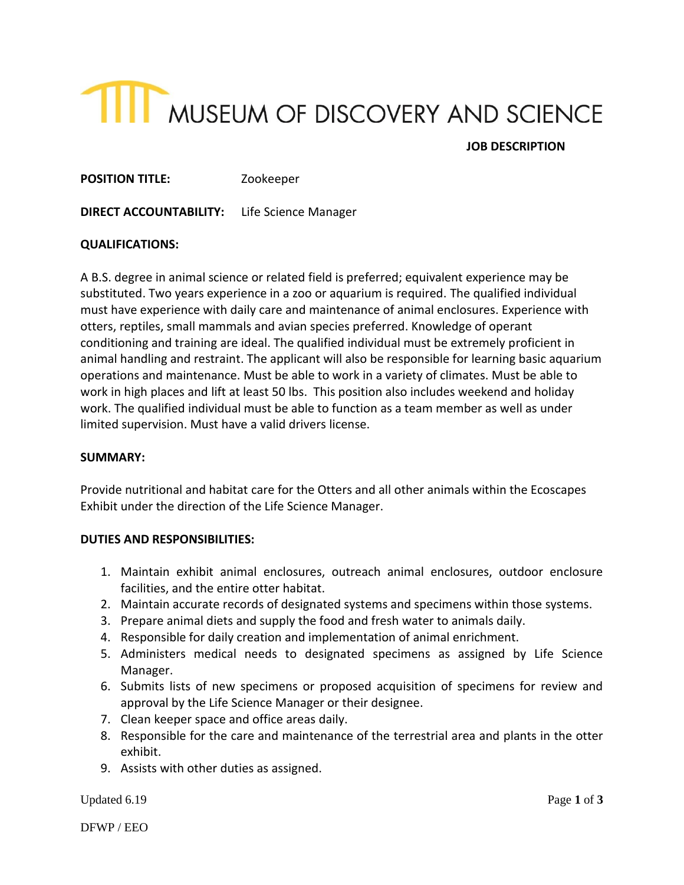# **TIIT** MUSEUM OF DISCOVERY AND SCIENCE

# **JOB DESCRIPTION**

**POSITION TITLE:** Zookeeper

**DIRECT ACCOUNTABILITY:** Life Science Manager

#### **QUALIFICATIONS:**

A B.S. degree in animal science or related field is preferred; equivalent experience may be substituted. Two years experience in a zoo or aquarium is required. The qualified individual must have experience with daily care and maintenance of animal enclosures. Experience with otters, reptiles, small mammals and avian species preferred. Knowledge of operant conditioning and training are ideal. The qualified individual must be extremely proficient in animal handling and restraint. The applicant will also be responsible for learning basic aquarium operations and maintenance. Must be able to work in a variety of climates. Must be able to work in high places and lift at least 50 lbs. This position also includes weekend and holiday work. The qualified individual must be able to function as a team member as well as under limited supervision. Must have a valid drivers license.

#### **SUMMARY:**

Provide nutritional and habitat care for the Otters and all other animals within the Ecoscapes Exhibit under the direction of the Life Science Manager.

#### **DUTIES AND RESPONSIBILITIES:**

- 1. Maintain exhibit animal enclosures, outreach animal enclosures, outdoor enclosure facilities, and the entire otter habitat.
- 2. Maintain accurate records of designated systems and specimens within those systems.
- 3. Prepare animal diets and supply the food and fresh water to animals daily.
- 4. Responsible for daily creation and implementation of animal enrichment.
- 5. Administers medical needs to designated specimens as assigned by Life Science Manager.
- 6. Submits lists of new specimens or proposed acquisition of specimens for review and approval by the Life Science Manager or their designee.
- 7. Clean keeper space and office areas daily.
- 8. Responsible for the care and maintenance of the terrestrial area and plants in the otter exhibit.
- 9. Assists with other duties as assigned.

Updated 6.19 Page 1 of 3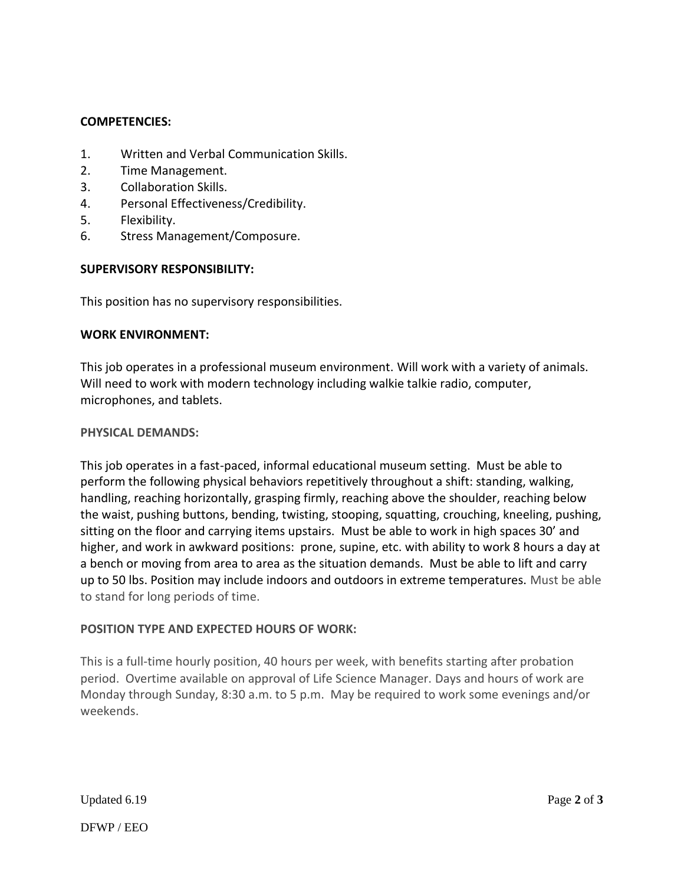#### **COMPETENCIES:**

- 1. Written and Verbal Communication Skills.
- 2. Time Management.
- 3. Collaboration Skills.
- 4. Personal Effectiveness/Credibility.
- 5. Flexibility.
- 6. Stress Management/Composure.

#### **SUPERVISORY RESPONSIBILITY:**

This position has no supervisory responsibilities.

#### **WORK ENVIRONMENT:**

This job operates in a professional museum environment. Will work with a variety of animals. Will need to work with modern technology including walkie talkie radio, computer, microphones, and tablets.

#### **PHYSICAL DEMANDS:**

This job operates in a fast-paced, informal educational museum setting. Must be able to perform the following physical behaviors repetitively throughout a shift: standing, walking, handling, reaching horizontally, grasping firmly, reaching above the shoulder, reaching below the waist, pushing buttons, bending, twisting, stooping, squatting, crouching, kneeling, pushing, sitting on the floor and carrying items upstairs. Must be able to work in high spaces 30' and higher, and work in awkward positions: prone, supine, etc. with ability to work 8 hours a day at a bench or moving from area to area as the situation demands. Must be able to lift and carry up to 50 lbs. Position may include indoors and outdoors in extreme temperatures. Must be able to stand for long periods of time.

#### **POSITION TYPE AND EXPECTED HOURS OF WORK:**

This is a full-time hourly position, 40 hours per week, with benefits starting after probation period. Overtime available on approval of Life Science Manager. Days and hours of work are Monday through Sunday, 8:30 a.m. to 5 p.m. May be required to work some evenings and/or weekends.